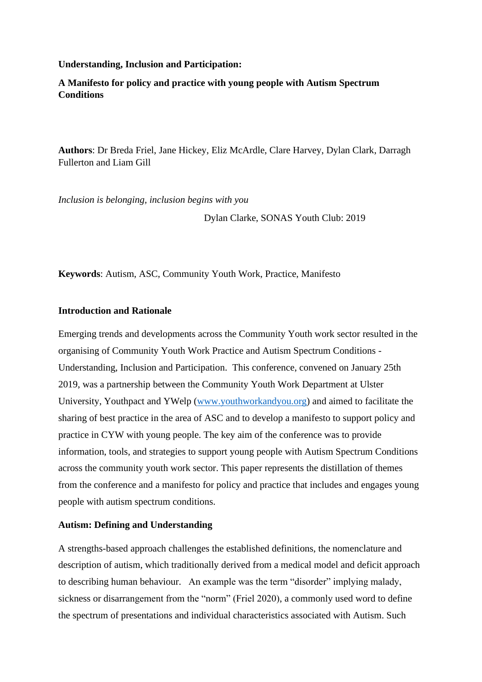### **Understanding, Inclusion and Participation:**

**A Manifesto for policy and practice with young people with Autism Spectrum Conditions**

**Authors**: Dr Breda Friel, Jane Hickey, Eliz McArdle, Clare Harvey, Dylan Clark, Darragh Fullerton and Liam Gill

*Inclusion is belonging, inclusion begins with you*

Dylan Clarke, SONAS Youth Club: 2019

**Keywords**: Autism, ASC, Community Youth Work, Practice, Manifesto

### **Introduction and Rationale**

Emerging trends and developments across the Community Youth work sector resulted in the organising of Community Youth Work Practice and Autism Spectrum Conditions - Understanding, Inclusion and Participation. This conference, convened on January 25th 2019, was a partnership between the Community Youth Work Department at Ulster University, Youthpact and YWelp [\(www.youthworkandyou.org\)](http://www.youthworkandyou.org/) and aimed to facilitate the sharing of best practice in the area of ASC and to develop a manifesto to support policy and practice in CYW with young people. The key aim of the conference was to provide information, tools, and strategies to support young people with Autism Spectrum Conditions across the community youth work sector. This paper represents the distillation of themes from the conference and a manifesto for policy and practice that includes and engages young people with autism spectrum conditions.

### **Autism: Defining and Understanding**

A strengths-based approach challenges the established definitions, the nomenclature and description of autism, which traditionally derived from a medical model and deficit approach to describing human behaviour. An example was the term "disorder" implying malady, sickness or disarrangement from the "norm" (Friel 2020), a commonly used word to define the spectrum of presentations and individual characteristics associated with Autism. Such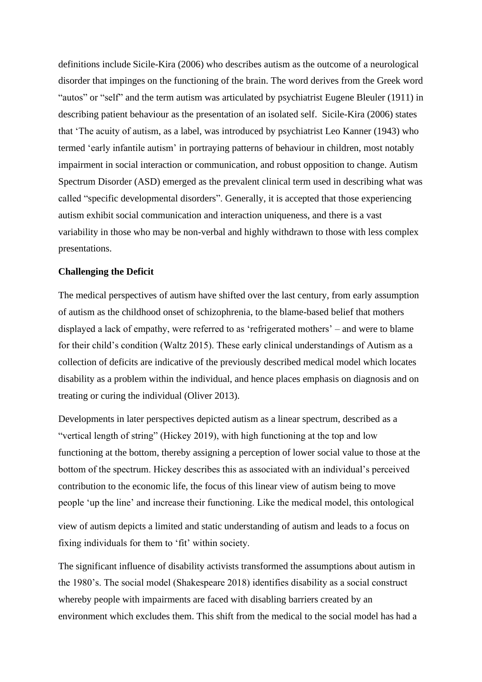definitions include Sicile-Kira (2006) who describes autism as the outcome of a neurological disorder that impinges on the functioning of the brain. The word derives from the Greek word "autos" or "self" and the term autism was articulated by psychiatrist Eugene Bleuler (1911) in describing patient behaviour as the presentation of an isolated self. Sicile-Kira (2006) states that 'The acuity of autism, as a label, was introduced by psychiatrist Leo Kanner (1943) who termed 'early infantile autism' in portraying patterns of behaviour in children, most notably impairment in social interaction or communication, and robust opposition to change. Autism Spectrum Disorder (ASD) emerged as the prevalent clinical term used in describing what was called "specific developmental disorders". Generally, it is accepted that those experiencing autism exhibit social communication and interaction uniqueness, and there is a vast variability in those who may be non-verbal and highly withdrawn to those with less complex presentations.

### **Challenging the Deficit**

The medical perspectives of autism have shifted over the last century, from early assumption of autism as the childhood onset of schizophrenia, to the blame-based belief that mothers displayed a lack of empathy, were referred to as 'refrigerated mothers' – and were to blame for their child's condition (Waltz 2015). These early clinical understandings of Autism as a collection of deficits are indicative of the previously described medical model which locates disability as a problem within the individual, and hence places emphasis on diagnosis and on treating or curing the individual (Oliver 2013).

Developments in later perspectives depicted autism as a linear spectrum, described as a "vertical length of string" (Hickey 2019), with high functioning at the top and low functioning at the bottom, thereby assigning a perception of lower social value to those at the bottom of the spectrum. Hickey describes this as associated with an individual's perceived contribution to the economic life, the focus of this linear view of autism being to move people 'up the line' and increase their functioning. Like the medical model, this ontological

view of autism depicts a limited and static understanding of autism and leads to a focus on fixing individuals for them to 'fit' within society.

The significant influence of disability activists transformed the assumptions about autism in the 1980's. The social model (Shakespeare 2018) identifies disability as a social construct whereby people with impairments are faced with disabling barriers created by an environment which excludes them. This shift from the medical to the social model has had a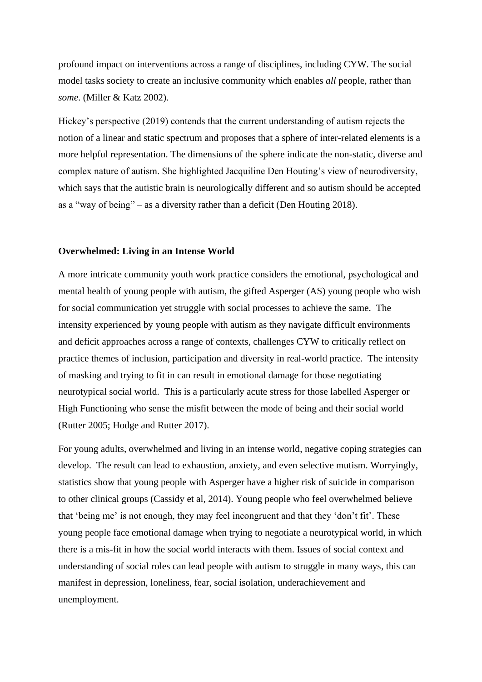profound impact on interventions across a range of disciplines, including CYW. The social model tasks society to create an inclusive community which enables *all* people, rather than *some*. (Miller & Katz 2002).

Hickey's perspective (2019) contends that the current understanding of autism rejects the notion of a linear and static spectrum and proposes that a sphere of inter-related elements is a more helpful representation. The dimensions of the sphere indicate the non-static, diverse and complex nature of autism. She highlighted Jacquiline Den Houting's view of neurodiversity, which says that the autistic brain is neurologically different and so autism should be accepted as a "way of being" – as a diversity rather than a deficit (Den Houting 2018).

#### **Overwhelmed: Living in an Intense World**

A more intricate community youth work practice considers the emotional, psychological and mental health of young people with autism, the gifted Asperger (AS) young people who wish for social communication yet struggle with social processes to achieve the same. The intensity experienced by young people with autism as they navigate difficult environments and deficit approaches across a range of contexts, challenges CYW to critically reflect on practice themes of inclusion, participation and diversity in real-world practice. The intensity of masking and trying to fit in can result in emotional damage for those negotiating neurotypical social world. This is a particularly acute stress for those labelled Asperger or High Functioning who sense the misfit between the mode of being and their social world (Rutter 2005; Hodge and Rutter 2017).

For young adults, overwhelmed and living in an intense world, negative coping strategies can develop. The result can lead to exhaustion, anxiety, and even selective mutism. Worryingly, statistics show that young people with Asperger have a higher risk of suicide in comparison to other clinical groups (Cassidy et al, 2014). Young people who feel overwhelmed believe that 'being me' is not enough, they may feel incongruent and that they 'don't fit'. These young people face emotional damage when trying to negotiate a neurotypical world, in which there is a mis-fit in how the social world interacts with them. Issues of social context and understanding of social roles can lead people with autism to struggle in many ways, this can manifest in depression, loneliness, fear, social isolation, underachievement and unemployment.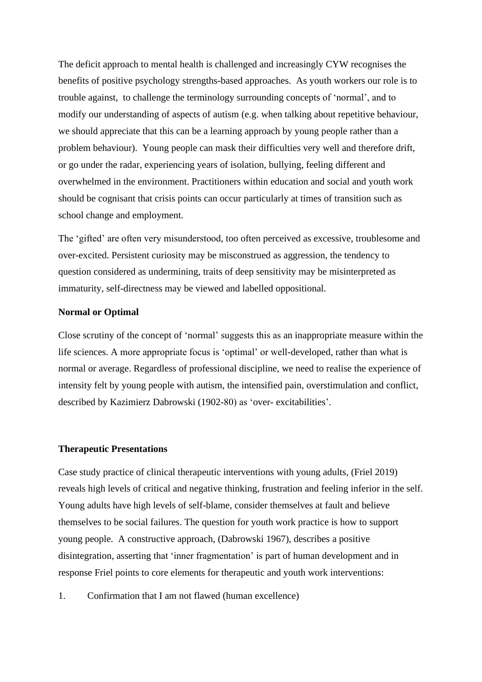The deficit approach to mental health is challenged and increasingly CYW recognises the benefits of positive psychology strengths-based approaches. As youth workers our role is to trouble against, to challenge the terminology surrounding concepts of 'normal', and to modify our understanding of aspects of autism (e.g. when talking about repetitive behaviour, we should appreciate that this can be a learning approach by young people rather than a problem behaviour). Young people can mask their difficulties very well and therefore drift, or go under the radar, experiencing years of isolation, bullying, feeling different and overwhelmed in the environment. Practitioners within education and social and youth work should be cognisant that crisis points can occur particularly at times of transition such as school change and employment.

The 'gifted' are often very misunderstood, too often perceived as excessive, troublesome and over-excited. Persistent curiosity may be misconstrued as aggression, the tendency to question considered as undermining, traits of deep sensitivity may be misinterpreted as immaturity, self-directness may be viewed and labelled oppositional.

### **Normal or Optimal**

Close scrutiny of the concept of 'normal' suggests this as an inappropriate measure within the life sciences. A more appropriate focus is 'optimal' or well-developed, rather than what is normal or average. Regardless of professional discipline, we need to realise the experience of intensity felt by young people with autism, the intensified pain, overstimulation and conflict, described by Kazimierz Dabrowski (1902-80) as 'over- excitabilities'.

### **Therapeutic Presentations**

Case study practice of clinical therapeutic interventions with young adults, (Friel 2019) reveals high levels of critical and negative thinking, frustration and feeling inferior in the self. Young adults have high levels of self-blame, consider themselves at fault and believe themselves to be social failures. The question for youth work practice is how to support young people. A constructive approach, (Dabrowski 1967), describes a positive disintegration, asserting that 'inner fragmentation' is part of human development and in response Friel points to core elements for therapeutic and youth work interventions:

1. Confirmation that I am not flawed (human excellence)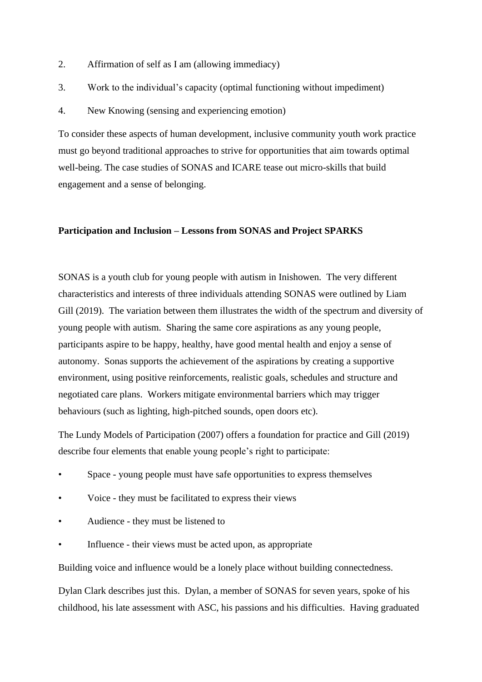- 2. Affirmation of self as I am (allowing immediacy)
- 3. Work to the individual's capacity (optimal functioning without impediment)
- 4. New Knowing (sensing and experiencing emotion)

To consider these aspects of human development, inclusive community youth work practice must go beyond traditional approaches to strive for opportunities that aim towards optimal well-being. The case studies of SONAS and ICARE tease out micro-skills that build engagement and a sense of belonging.

### **Participation and Inclusion – Lessons from SONAS and Project SPARKS**

SONAS is a youth club for young people with autism in Inishowen. The very different characteristics and interests of three individuals attending SONAS were outlined by Liam Gill (2019). The variation between them illustrates the width of the spectrum and diversity of young people with autism. Sharing the same core aspirations as any young people, participants aspire to be happy, healthy, have good mental health and enjoy a sense of autonomy. Sonas supports the achievement of the aspirations by creating a supportive environment, using positive reinforcements, realistic goals, schedules and structure and negotiated care plans. Workers mitigate environmental barriers which may trigger behaviours (such as lighting, high-pitched sounds, open doors etc).

The Lundy Models of Participation (2007) offers a foundation for practice and Gill (2019) describe four elements that enable young people's right to participate:

- Space young people must have safe opportunities to express themselves
- Voice they must be facilitated to express their views
- Audience they must be listened to
- Influence their views must be acted upon, as appropriate

Building voice and influence would be a lonely place without building connectedness.

Dylan Clark describes just this. Dylan, a member of SONAS for seven years, spoke of his childhood, his late assessment with ASC, his passions and his difficulties. Having graduated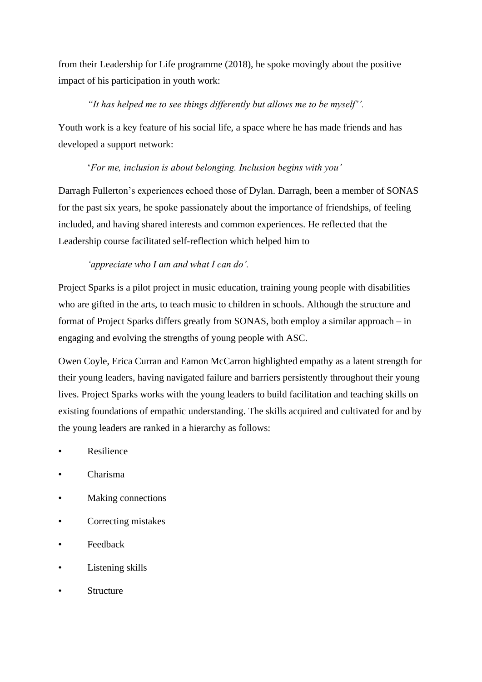from their Leadership for Life programme (2018), he spoke movingly about the positive impact of his participation in youth work:

## *"It has helped me to see things differently but allows me to be myself''.*

Youth work is a key feature of his social life, a space where he has made friends and has developed a support network:

## '*For me, inclusion is about belonging. Inclusion begins with you'*

Darragh Fullerton's experiences echoed those of Dylan. Darragh, been a member of SONAS for the past six years, he spoke passionately about the importance of friendships, of feeling included, and having shared interests and common experiences. He reflected that the Leadership course facilitated self-reflection which helped him to

# *'appreciate who I am and what I can do'.*

Project Sparks is a pilot project in music education, training young people with disabilities who are gifted in the arts, to teach music to children in schools. Although the structure and format of Project Sparks differs greatly from SONAS, both employ a similar approach – in engaging and evolving the strengths of young people with ASC.

Owen Coyle, Erica Curran and Eamon McCarron highlighted empathy as a latent strength for their young leaders, having navigated failure and barriers persistently throughout their young lives. Project Sparks works with the young leaders to build facilitation and teaching skills on existing foundations of empathic understanding. The skills acquired and cultivated for and by the young leaders are ranked in a hierarchy as follows:

- **Resilience**
- Charisma
- Making connections
- Correcting mistakes
- **Feedback**
- Listening skills
- **Structure**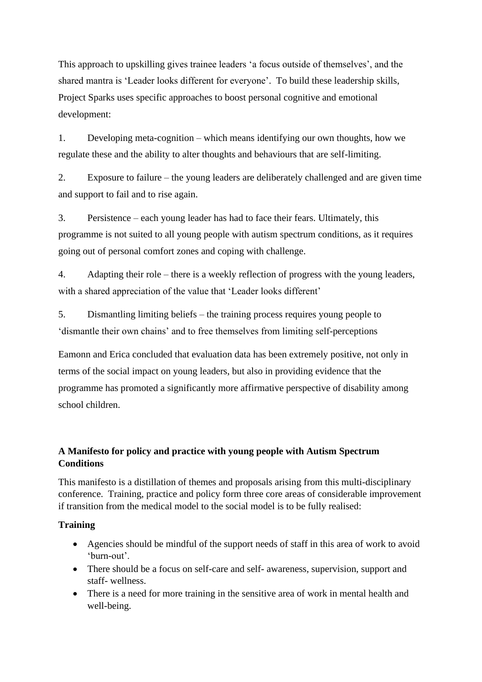This approach to upskilling gives trainee leaders 'a focus outside of themselves', and the shared mantra is 'Leader looks different for everyone'. To build these leadership skills, Project Sparks uses specific approaches to boost personal cognitive and emotional development:

1. Developing meta-cognition – which means identifying our own thoughts, how we regulate these and the ability to alter thoughts and behaviours that are self-limiting.

2. Exposure to failure – the young leaders are deliberately challenged and are given time and support to fail and to rise again.

3. Persistence – each young leader has had to face their fears. Ultimately, this programme is not suited to all young people with autism spectrum conditions, as it requires going out of personal comfort zones and coping with challenge.

4. Adapting their role – there is a weekly reflection of progress with the young leaders, with a shared appreciation of the value that 'Leader looks different'

5. Dismantling limiting beliefs – the training process requires young people to 'dismantle their own chains' and to free themselves from limiting self-perceptions

Eamonn and Erica concluded that evaluation data has been extremely positive, not only in terms of the social impact on young leaders, but also in providing evidence that the programme has promoted a significantly more affirmative perspective of disability among school children.

# **A Manifesto for policy and practice with young people with Autism Spectrum Conditions**

This manifesto is a distillation of themes and proposals arising from this multi-disciplinary conference. Training, practice and policy form three core areas of considerable improvement if transition from the medical model to the social model is to be fully realised:

# **Training**

- Agencies should be mindful of the support needs of staff in this area of work to avoid 'burn-out'.
- There should be a focus on self-care and self- awareness, supervision, support and staff- wellness.
- There is a need for more training in the sensitive area of work in mental health and well-being.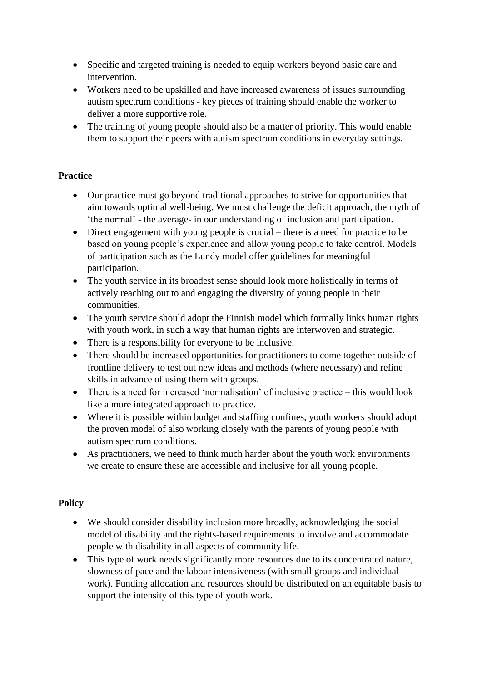- Specific and targeted training is needed to equip workers beyond basic care and intervention.
- Workers need to be upskilled and have increased awareness of issues surrounding autism spectrum conditions - key pieces of training should enable the worker to deliver a more supportive role.
- The training of young people should also be a matter of priority. This would enable them to support their peers with autism spectrum conditions in everyday settings.

# **Practice**

- Our practice must go beyond traditional approaches to strive for opportunities that aim towards optimal well-being. We must challenge the deficit approach, the myth of 'the normal' - the average- in our understanding of inclusion and participation.
- Direct engagement with young people is crucial there is a need for practice to be based on young people's experience and allow young people to take control. Models of participation such as the Lundy model offer guidelines for meaningful participation.
- The youth service in its broadest sense should look more holistically in terms of actively reaching out to and engaging the diversity of young people in their communities.
- The youth service should adopt the Finnish model which formally links human rights with youth work, in such a way that human rights are interwoven and strategic.
- There is a responsibility for everyone to be inclusive.
- There should be increased opportunities for practitioners to come together outside of frontline delivery to test out new ideas and methods (where necessary) and refine skills in advance of using them with groups.
- There is a need for increased 'normalisation' of inclusive practice this would look like a more integrated approach to practice.
- Where it is possible within budget and staffing confines, youth workers should adopt the proven model of also working closely with the parents of young people with autism spectrum conditions.
- As practitioners, we need to think much harder about the youth work environments we create to ensure these are accessible and inclusive for all young people.

# **Policy**

- We should consider disability inclusion more broadly, acknowledging the social model of disability and the rights-based requirements to involve and accommodate people with disability in all aspects of community life.
- This type of work needs significantly more resources due to its concentrated nature, slowness of pace and the labour intensiveness (with small groups and individual work). Funding allocation and resources should be distributed on an equitable basis to support the intensity of this type of youth work.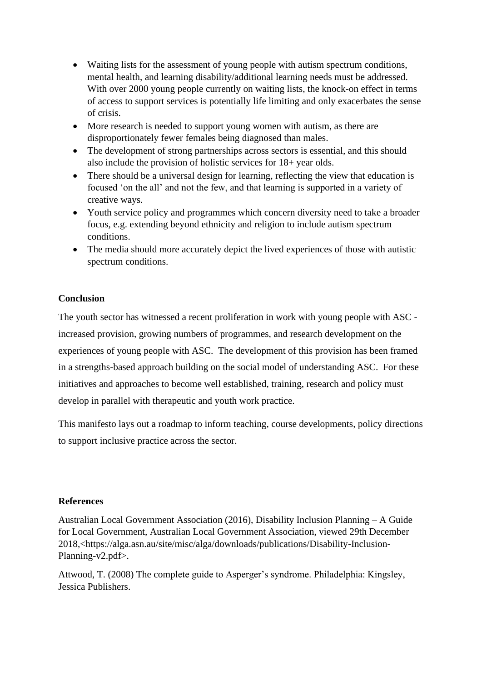- Waiting lists for the assessment of young people with autism spectrum conditions, mental health, and learning disability/additional learning needs must be addressed. With over 2000 young people currently on waiting lists, the knock-on effect in terms of access to support services is potentially life limiting and only exacerbates the sense of crisis.
- More research is needed to support young women with autism, as there are disproportionately fewer females being diagnosed than males.
- The development of strong partnerships across sectors is essential, and this should also include the provision of holistic services for 18+ year olds.
- There should be a universal design for learning, reflecting the view that education is focused 'on the all' and not the few, and that learning is supported in a variety of creative ways.
- Youth service policy and programmes which concern diversity need to take a broader focus, e.g. extending beyond ethnicity and religion to include autism spectrum conditions.
- The media should more accurately depict the lived experiences of those with autistic spectrum conditions.

## **Conclusion**

The youth sector has witnessed a recent proliferation in work with young people with ASC increased provision, growing numbers of programmes, and research development on the experiences of young people with ASC. The development of this provision has been framed in a strengths-based approach building on the social model of understanding ASC. For these initiatives and approaches to become well established, training, research and policy must develop in parallel with therapeutic and youth work practice.

This manifesto lays out a roadmap to inform teaching, course developments, policy directions to support inclusive practice across the sector.

## **References**

Australian Local Government Association (2016), Disability Inclusion Planning – A Guide for Local Government, Australian Local Government Association, viewed 29th December 2018,<https://alga.asn.au/site/misc/alga/downloads/publications/Disability-Inclusion-Planning-v2.pdf>.

Attwood, T. (2008) The complete guide to Asperger's syndrome. Philadelphia: Kingsley, Jessica Publishers.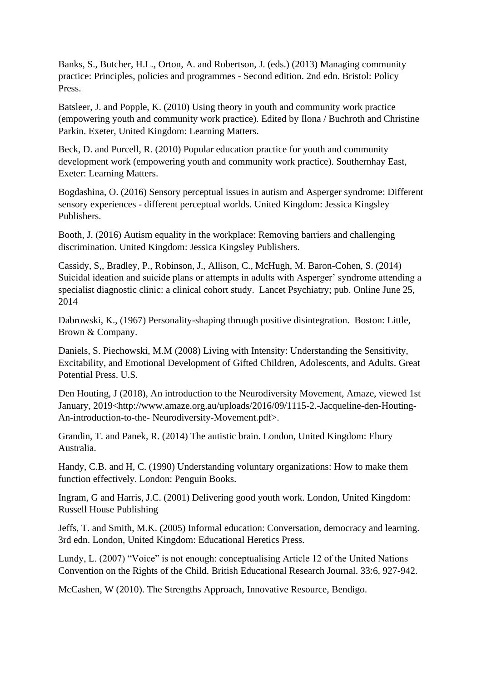Banks, S., Butcher, H.L., Orton, A. and Robertson, J. (eds.) (2013) Managing community practice: Principles, policies and programmes - Second edition. 2nd edn. Bristol: Policy Press.

Batsleer, J. and Popple, K. (2010) Using theory in youth and community work practice (empowering youth and community work practice). Edited by Ilona / Buchroth and Christine Parkin. Exeter, United Kingdom: Learning Matters.

Beck, D. and Purcell, R. (2010) Popular education practice for youth and community development work (empowering youth and community work practice). Southernhay East, Exeter: Learning Matters.

Bogdashina, O. (2016) Sensory perceptual issues in autism and Asperger syndrome: Different sensory experiences - different perceptual worlds. United Kingdom: Jessica Kingsley Publishers.

Booth, J. (2016) Autism equality in the workplace: Removing barriers and challenging discrimination. United Kingdom: Jessica Kingsley Publishers.

Cassidy, S,, Bradley, P., Robinson, J., Allison, C., McHugh, M. Baron-Cohen, S. (2014) Suicidal ideation and suicide plans or attempts in adults with Asperger' syndrome attending a specialist diagnostic clinic: a clinical cohort study. Lancet Psychiatry; pub. Online June 25, 2014

Dabrowski, K., (1967) Personality-shaping through positive disintegration. Boston: Little, Brown & Company.

Daniels, S. Piechowski, M.M (2008) Living with Intensity: Understanding the Sensitivity, Excitability, and Emotional Development of Gifted Children, Adolescents, and Adults. Great Potential Press. U.S.

Den Houting, J (2018), An introduction to the Neurodiversity Movement, Amaze, viewed 1st January, 2019<http://www.amaze.org.au/uploads/2016/09/1115-2.-Jacqueline-den-Houting-An-introduction-to-the- Neurodiversity-Movement.pdf>.

Grandin, T. and Panek, R. (2014) The autistic brain. London, United Kingdom: Ebury Australia.

Handy, C.B. and H, C. (1990) Understanding voluntary organizations: How to make them function effectively. London: Penguin Books.

Ingram, G and Harris, J.C. (2001) Delivering good youth work. London, United Kingdom: Russell House Publishing

Jeffs, T. and Smith, M.K. (2005) Informal education: Conversation, democracy and learning. 3rd edn. London, United Kingdom: Educational Heretics Press.

Lundy, L. (2007) "Voice" is not enough: conceptualising Article 12 of the United Nations Convention on the Rights of the Child. British Educational Research Journal. 33:6, 927-942.

McCashen, W (2010). The Strengths Approach, Innovative Resource, Bendigo.